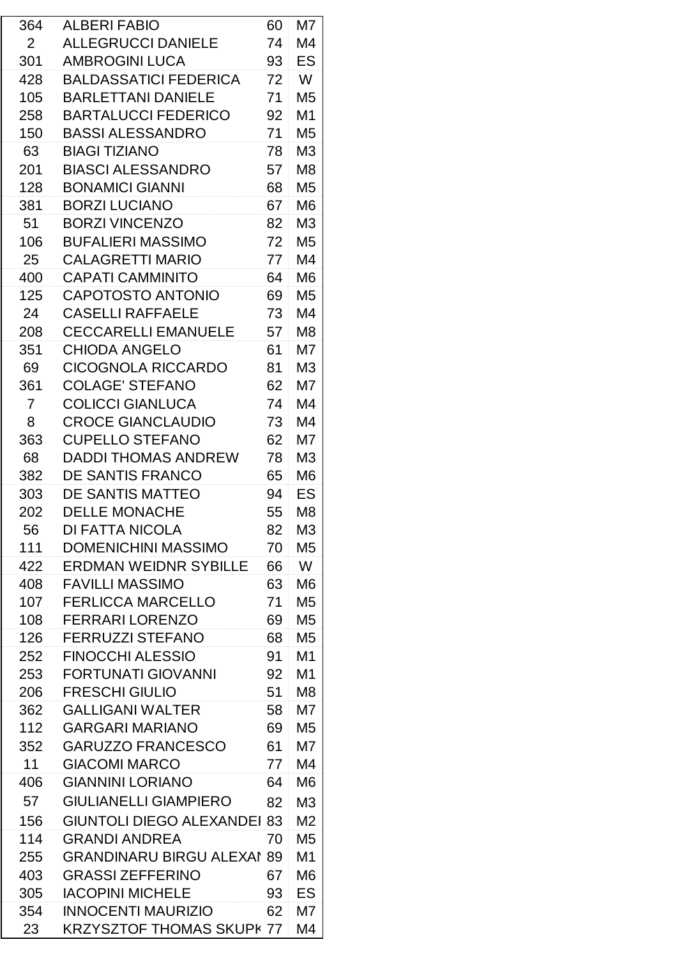| 364 | <b>ALBERI FABIO</b>                | 60 | M7             |
|-----|------------------------------------|----|----------------|
| 2   | <b>ALLEGRUCCI DANIELE</b>          | 74 | M4             |
| 301 | <b>AMBROGINI LUCA</b>              | 93 | ES             |
| 428 | <b>BALDASSATICI FEDERICA</b>       | 72 | W              |
| 105 | <b>BARLETTANI DANIELE</b>          | 71 | M5             |
| 258 | <b>BARTALUCCI FEDERICO</b>         | 92 | M1             |
| 150 | <b>BASSI ALESSANDRO</b>            | 71 | M <sub>5</sub> |
| 63  | <b>BIAGI TIZIANO</b>               | 78 | M <sub>3</sub> |
| 201 | <b>BIASCI ALESSANDRO</b>           | 57 | M <sub>8</sub> |
| 128 | <b>BONAMICI GIANNI</b>             | 68 | M <sub>5</sub> |
| 381 | <b>BORZI LUCIANO</b>               | 67 | M <sub>6</sub> |
| 51  | <b>BORZI VINCENZO</b>              | 82 | M <sub>3</sub> |
| 106 | <b>BUFALIERI MASSIMO</b>           | 72 | M <sub>5</sub> |
| 25  | <b>CALAGRETTI MARIO</b>            | 77 | M <sub>4</sub> |
| 400 | <b>CAPATI CAMMINITO</b>            | 64 | M <sub>6</sub> |
| 125 | <b>CAPOTOSTO ANTONIO</b>           | 69 | M <sub>5</sub> |
| 24  | <b>CASELLI RAFFAELE</b>            | 73 | M4             |
| 208 | <b>CECCARELLI EMANUELE</b>         | 57 | M <sub>8</sub> |
| 351 | <b>CHIODA ANGELO</b>               | 61 | M7             |
| 69  | <b>CICOGNOLA RICCARDO</b>          | 81 | M <sub>3</sub> |
| 361 | <b>COLAGE' STEFANO</b>             | 62 | M7             |
| 7   | <b>COLICCI GIANLUCA</b>            | 74 | M4             |
| 8   | <b>CROCE GIANCLAUDIO</b>           | 73 | M4             |
| 363 | <b>CUPELLO STEFANO</b>             | 62 | M7             |
| 68  | <b>DADDI THOMAS ANDREW</b>         | 78 | M <sub>3</sub> |
| 382 | DE SANTIS FRANCO                   | 65 | M <sub>6</sub> |
| 303 | DE SANTIS MATTEO                   | 94 | ES             |
| 202 | <b>DELLE MONACHE</b>               | 55 | M8             |
| 56  | DI FATTA NICOLA                    | 82 | M <sub>3</sub> |
| 111 | <b>DOMENICHINI MASSIMO</b>         | 70 | M5             |
| 422 | <b>ERDMAN WEIDNR SYBILLE</b>       | 66 | W              |
|     | <b>FAVILLI MASSIMO</b>             |    |                |
| 408 |                                    | 63 | M <sub>6</sub> |
| 107 | <b>FERLICCA MARCELLO</b>           | 71 | M <sub>5</sub> |
| 108 | <b>FERRARI LORENZO</b>             | 69 | M <sub>5</sub> |
| 126 | <b>FERRUZZI STEFANO</b>            | 68 | M <sub>5</sub> |
| 252 | <b>FINOCCHI ALESSIO</b>            | 91 | M <sub>1</sub> |
| 253 | <b>FORTUNATI GIOVANNI</b>          | 92 | M <sub>1</sub> |
| 206 | <b>FRESCHI GIULIO</b>              | 51 | M8             |
| 362 | <b>GALLIGANI WALTER</b>            | 58 | M7             |
| 112 | <b>GARGARI MARIANO</b>             | 69 | M <sub>5</sub> |
| 352 | <b>GARUZZO FRANCESCO</b>           | 61 | M7             |
| 11  | <b>GIACOMI MARCO</b>               | 77 | M4             |
| 406 | <b>GIANNINI LORIANO</b>            | 64 | M6             |
| 57  | <b>GIULIANELLI GIAMPIERO</b>       | 82 | M <sub>3</sub> |
| 156 | <b>GIUNTOLI DIEGO ALEXANDEI 83</b> |    | M <sub>2</sub> |
| 114 | <b>GRANDI ANDREA</b>               | 70 | M <sub>5</sub> |
| 255 | <b>GRANDINARU BIRGU ALEXAI 89</b>  |    | M1             |
| 403 | <b>GRASSI ZEFFERINO</b>            | 67 | M6             |
| 305 | <b>IACOPINI MICHELE</b>            | 93 | ES             |
| 354 | INNOCENTI MAURIZIO                 | 62 | M7             |
| 23  | <b>KRZYSZTOF THOMAS SKUPK 77</b>   |    | M4             |